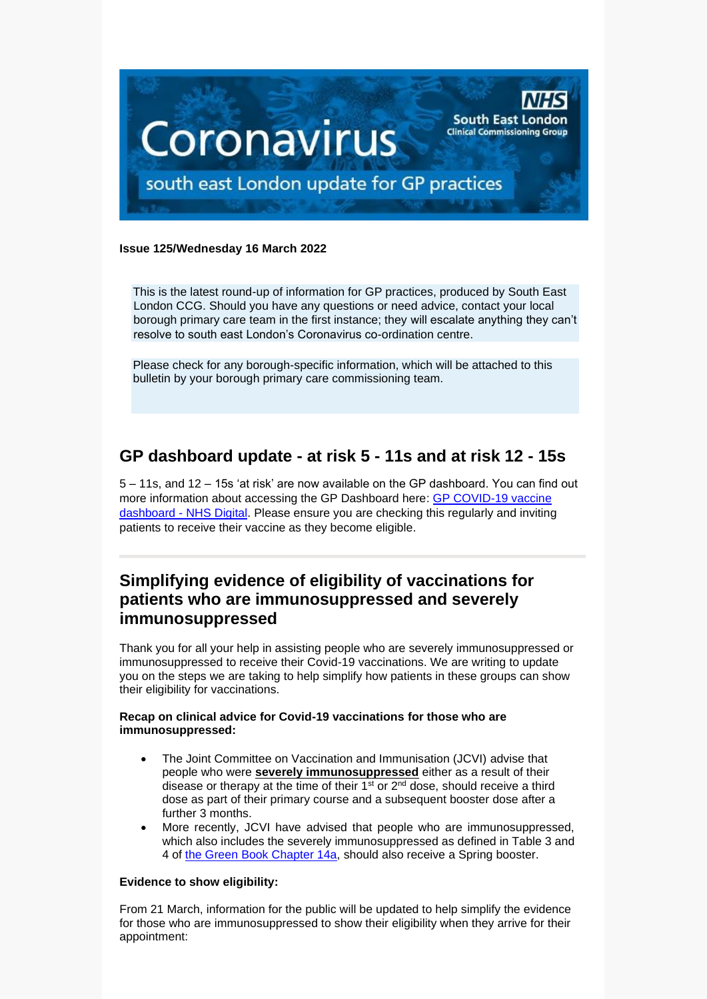

#### **Issue 125/Wednesday 16 March 2022**

This is the latest round-up of information for GP practices, produced by South East London CCG. Should you have any questions or need advice, contact your local borough primary care team in the first instance; they will escalate anything they can't resolve to south east London's Coronavirus co-ordination centre.

Please check for any borough-specific information, which will be attached to this bulletin by your borough primary care commissioning team.

# **GP dashboard update - at risk 5 - 11s and at risk 12 - 15s**

5 – 11s, and 12 – 15s 'at risk' are now available on the GP dashboard. You can find out more information about accessing the GP Dashboard here: [GP COVID-19 vaccine](https://digital.nhs.uk/dashboards/gp-covid-19-vaccine-dashboard)  dashboard - [NHS Digital.](https://digital.nhs.uk/dashboards/gp-covid-19-vaccine-dashboard) Please ensure you are checking this regularly and inviting patients to receive their vaccine as they become eligible.

## **Simplifying evidence of eligibility of vaccinations for patients who are immunosuppressed and severely immunosuppressed**

Thank you for all your help in assisting people who are severely immunosuppressed or immunosuppressed to receive their Covid-19 vaccinations. We are writing to update you on the steps we are taking to help simplify how patients in these groups can show their eligibility for vaccinations.

#### **Recap on clinical advice for Covid-19 vaccinations for those who are immunosuppressed:**

- The Joint Committee on Vaccination and Immunisation (JCVI) advise that people who were **severely immunosuppressed** either as a result of their disease or therapy at the time of their  $1<sup>st</sup>$  or  $2<sup>nd</sup>$  dose, should receive a third dose as part of their primary course and a subsequent booster dose after a further 3 months.
- More recently, JCVI have advised that people who are immunosuppressed, which also includes the severely immunosuppressed as defined in Table 3 and 4 of [the Green Book Chapter 14a,](https://www.gov.uk/government/publications/covid-19-the-green-book-chapter-14a) should also receive a Spring booster.

#### **Evidence to show eligibility:**

From 21 March, information for the public will be updated to help simplify the evidence for those who are immunosuppressed to show their eligibility when they arrive for their appointment: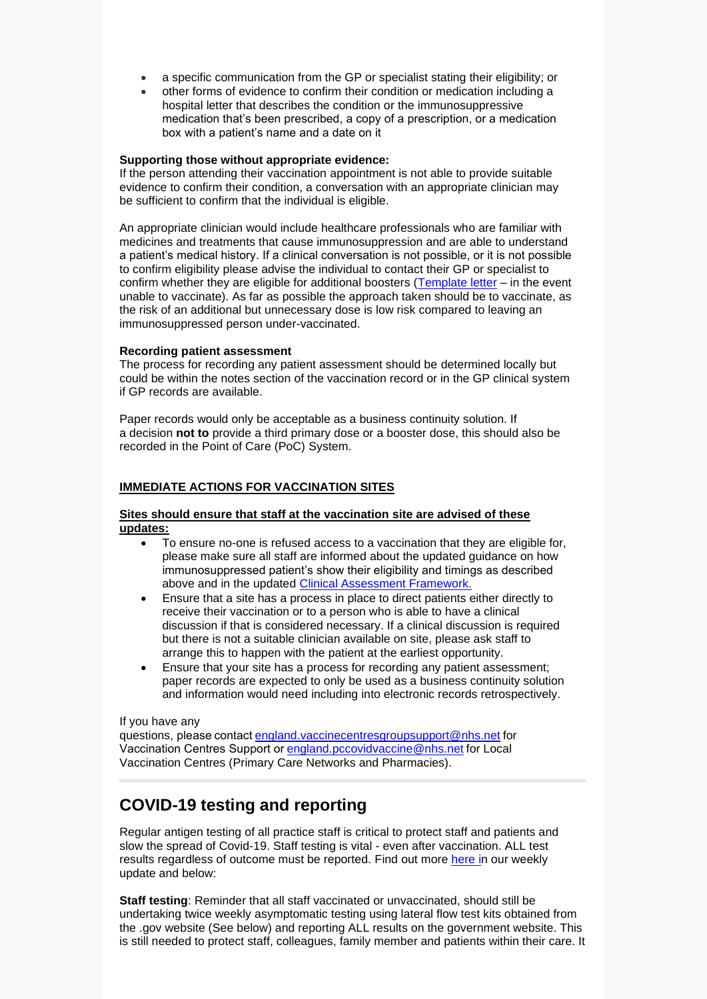- a specific communication from the GP or specialist stating their eligibility; or
- other forms of evidence to confirm their condition or medication including a hospital letter that describes the condition or the immunosuppressive medication that's been prescribed, a copy of a prescription, or a medication box with a patient's name and a date on it

#### **Supporting those without appropriate evidence:**

If the person attending their vaccination appointment is not able to provide suitable evidence to confirm their condition, a conversation with an appropriate clinician may be sufficient to confirm that the individual is eligible.

An appropriate clinician would include healthcare professionals who are familiar with medicines and treatments that cause immunosuppression and are able to understand a patient's medical history. If a clinical conversation is not possible, or it is not possible to confirm eligibility please advise the individual to contact their GP or specialist to confirm whether they are eligible for additional boosters [\(Template letter](https://future.nhs.uk/CovidVaccinations/view?objectId=126615813) – in the event unable to vaccinate). As far as possible the approach taken should be to vaccinate, as the risk of an additional but unnecessary dose is low risk compared to leaving an immunosuppressed person under-vaccinated.

#### **Recording patient assessment**

The process for recording any patient assessment should be determined locally but could be within the notes section of the vaccination record or in the GP clinical system if GP records are available.

Paper records would only be acceptable as a business continuity solution. If a decision **not to** provide a third primary dose or a booster dose, this should also be recorded in the Point of Care (PoC) System.

#### **IMMEDIATE ACTIONS FOR VACCINATION SITES**

#### **Sites should ensure that staff at the vaccination site are advised of these updates:**

- To ensure no-one is refused access to a vaccination that they are eligible for, please make sure all staff are informed about the updated guidance on how immunosuppressed patient's show their eligibility and timings as described above and in the updated [Clinical Assessment Framework.](https://future.nhs.uk/CovidVaccinations/view?objectId=32905808)
- Ensure that a site has a process in place to direct patients either directly to receive their vaccination or to a person who is able to have a clinical discussion if that is considered necessary. If a clinical discussion is required but there is not a suitable clinician available on site, please ask staff to arrange this to happen with the patient at the earliest opportunity.
- Ensure that your site has a process for recording any patient assessment; paper records are expected to only be used as a business continuity solution and information would need including into electronic records retrospectively.

#### If you have any

questions, please contac[t england.vaccinecentresgroupsupport@nhs.net](mailto:england.vaccinecentresgroupsupport@nhs.net) for Vaccination Centres Support o[r england.pccovidvaccine@nhs.net](mailto:england.pccovidvaccine@nhs.net) for Local Vaccination Centres (Primary Care Networks and Pharmacies).

## **COVID-19 testing and reporting**

Regular antigen testing of all practice staff is critical to protect staff and patients and slow the spread of Covid-19. Staff testing is vital - even after vaccination. ALL test results regardless of outcome must be reported. Find out more [here](https://selondonccg.nhs.uk/wp-content/uploads/2022/03/Key-messages-for-GP-weekly-bulletin-11-March-2022.pdf) in our weekly update and below:

**Staff testing**: Reminder that all staff vaccinated or unvaccinated, should still be undertaking twice weekly asymptomatic testing using lateral flow test kits obtained from the .gov website (See below) and reporting ALL results on the government website. This is still needed to protect staff, colleagues, family member and patients within their care. It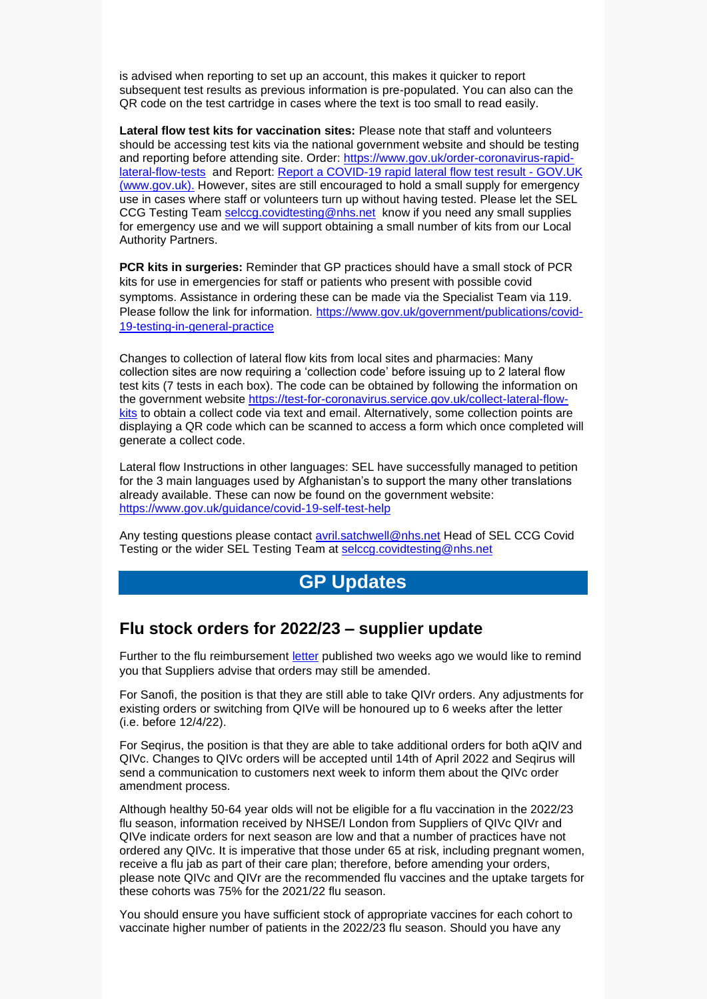is advised when reporting to set up an account, this makes it quicker to report subsequent test results as previous information is pre-populated. You can also can the QR code on the test cartridge in cases where the text is too small to read easily.

**Lateral flow test kits for vaccination sites:** Please note that staff and volunteers should be accessing test kits via the national government website and should be testing and reporting before attending site. Order: [https://www.gov.uk/order-coronavirus-rapid](https://www.gov.uk/order-coronavirus-rapid-lateral-flow-tests)[lateral-flow-tests](https://www.gov.uk/order-coronavirus-rapid-lateral-flow-tests) and Report: [Report a COVID-19 rapid lateral flow test result -](https://www.gov.uk/report-covid19-result) GOV.UK [\(www.gov.uk\).](https://www.gov.uk/report-covid19-result) However, sites are still encouraged to hold a small supply for emergency use in cases where staff or volunteers turn up without having tested. Please let the SEL CCG Testing Team [selccg.covidtesting@nhs.net](mailto:selccg.covidtesting@nhs.net) know if you need any small supplies for emergency use and we will support obtaining a small number of kits from our Local Authority Partners.

**PCR kits in surgeries:** Reminder that GP practices should have a small stock of PCR kits for use in emergencies for staff or patients who present with possible covid symptoms. Assistance in ordering these can be made via the Specialist Team via 119. Please follow the link for information. [https://www.gov.uk/government/publications/covid-](https://www.gov.uk/government/publications/covid-19-testing-in-general-practice)[19-testing-in-general-practice](https://www.gov.uk/government/publications/covid-19-testing-in-general-practice)

Changes to collection of lateral flow kits from local sites and pharmacies: Many collection sites are now requiring a 'collection code' before issuing up to 2 lateral flow test kits (7 tests in each box). The code can be obtained by following the information on the government website [https://test-for-coronavirus.service.gov.uk/collect-lateral-flow](https://test-for-coronavirus.service.gov.uk/collect-lateral-flow-kits)[kits](https://test-for-coronavirus.service.gov.uk/collect-lateral-flow-kits) to obtain a collect code via text and email. Alternatively, some collection points are displaying a QR code which can be scanned to access a form which once completed will generate a collect code.

Lateral flow Instructions in other languages: SEL have successfully managed to petition for the 3 main languages used by Afghanistan's to support the many other translations already available. These can now be found on the government website: <https://www.gov.uk/guidance/covid-19-self-test-help>

Any testing questions please contact [avril.satchwell@nhs.net](mailto:avril.satchwell@nhs.net) Head of SEL CCG Covid Testing or the wider SEL Testing Team at [selccg.covidtesting@nhs.net](mailto:selccg.covidtesting@nhs.net)

## **GP Updates**

#### **Flu stock orders for 2022/23 – supplier update**

Further to the flu reimbursement [letter](https://www.england.nhs.uk/publication/annual-seasonal-flu-vaccination-programme-and-reimbursement-guidance/) published two weeks ago we would like to remind you that Suppliers advise that orders may still be amended.

For Sanofi, the position is that they are still able to take QIVr orders. Any adjustments for existing orders or switching from QIVe will be honoured up to 6 weeks after the letter (i.e. before 12/4/22).

For Seqirus, the position is that they are able to take additional orders for both aQIV and QIVc. Changes to QIVc orders will be accepted until 14th of April 2022 and Seqirus will send a communication to customers next week to inform them about the QIVc order amendment process.

Although healthy 50-64 year olds will not be eligible for a flu vaccination in the 2022/23 flu season, information received by NHSE/I London from Suppliers of QIVc QIVr and QIVe indicate orders for next season are low and that a number of practices have not ordered any QIVc. It is imperative that those under 65 at risk, including pregnant women, receive a flu jab as part of their care plan; therefore, before amending your orders, please note QIVc and QIVr are the recommended flu vaccines and the uptake targets for these cohorts was 75% for the 2021/22 flu season.

You should ensure you have sufficient stock of appropriate vaccines for each cohort to vaccinate higher number of patients in the 2022/23 flu season. Should you have any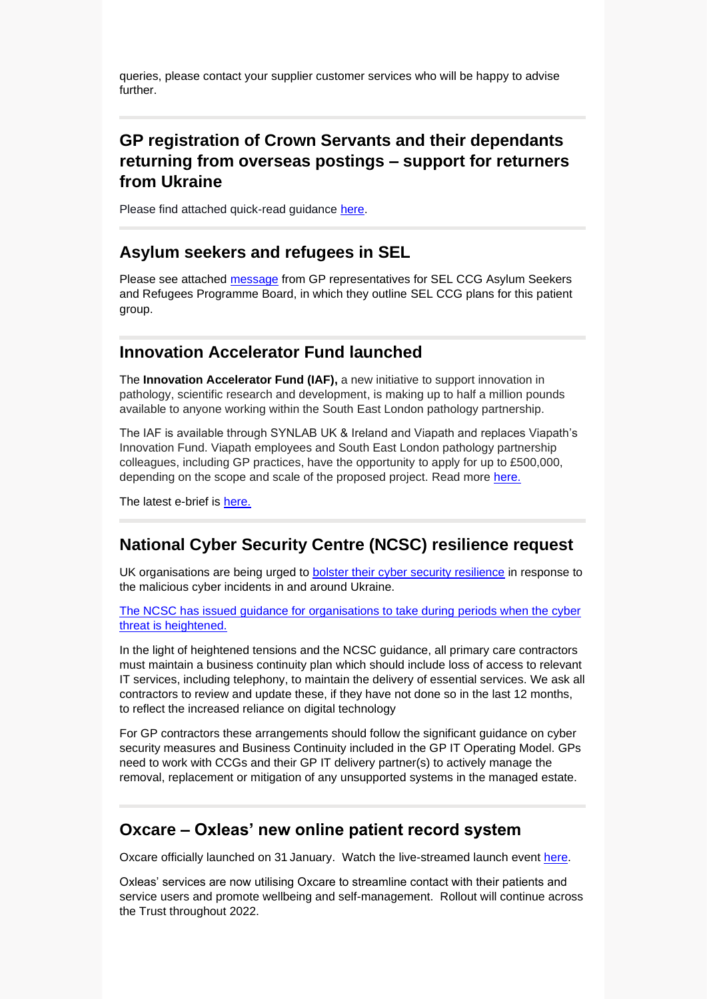queries, please contact your supplier customer services who will be happy to advise further.

# **GP registration of Crown Servants and their dependants returning from overseas postings – support for returners from Ukraine**

Please find attached quick-read guidance [here.](https://selondonccg.nhs.uk/wp-content/uploads/2022/03/Guidance-on-ensuring-the-successful-GP-registration-of-Crown-Servants-Moscow-and-surroundings-11.3.22.pdf)

### **Asylum seekers and refugees in SEL**

Please see attached [message](https://selondonccg.nhs.uk/wp-content/uploads/2022/03/Asylum-seekers-and-refugees-in-SEL.docx) from GP representatives for SEL CCG Asylum Seekers and Refugees Programme Board, in which they outline SEL CCG plans for this patient group.

## **Innovation Accelerator Fund launched**

The **Innovation Accelerator Fund (IAF),** a new initiative to support innovation in pathology, scientific research and development, is making up to half a million pounds available to anyone working within the South East London pathology partnership.

The IAF is available through SYNLAB UK & Ireland and Viapath and replaces Viapath's Innovation Fund. Viapath employees and South East London pathology partnership colleagues, including GP practices, have the opportunity to apply for up to £500,000, depending on the scope and scale of the proposed project. Read more [here.](https://selondonccg.nhs.uk/wp-content/uploads/2022/03/Innovation-fund.pdf)

The latest e-brief is [here.](https://selondonccg.nhs.uk/wp-content/uploads/2022/03/Ebrief-16-March-22.docx)

## **National Cyber Security Centre (NCSC) resilience request**

UK organisations are being urged to bolster their [cyber security resilience](https://www.ncsc.gov.uk/news/uk-organisations-encouraged-to-take-action-around-ukraine-situation) in response to the malicious cyber incidents in and around Ukraine.

[The NCSC has issued guidance for organisations to take during periods when the cyber](https://www.ncsc.gov.uk/guidance/actions-to-take-when-the-cyber-threat-is-heightened)  [threat is heightened.](https://www.ncsc.gov.uk/guidance/actions-to-take-when-the-cyber-threat-is-heightened)

In the light of heightened tensions and the NCSC guidance, all primary care contractors must maintain a business continuity plan which should include loss of access to relevant IT services, including telephony, to maintain the delivery of essential services. We ask all contractors to review and update these, if they have not done so in the last 12 months, to reflect the increased reliance on digital technology

For GP contractors these arrangements should follow the significant guidance on cyber security measures and Business Continuity included in the GP IT Operating Model. GPs need to work with CCGs and their GP IT delivery partner(s) to actively manage the removal, replacement or mitigation of any unsupported systems in the managed estate.

## **Oxcare – Oxleas' new online patient record system**

Oxcare officially launched on 31 January. Watch the live-streamed launch event [here.](https://vimeo.com/658581315)

Oxleas' services are now utilising Oxcare to streamline contact with their patients and service users and promote wellbeing and self-management. Rollout will continue across the Trust throughout 2022.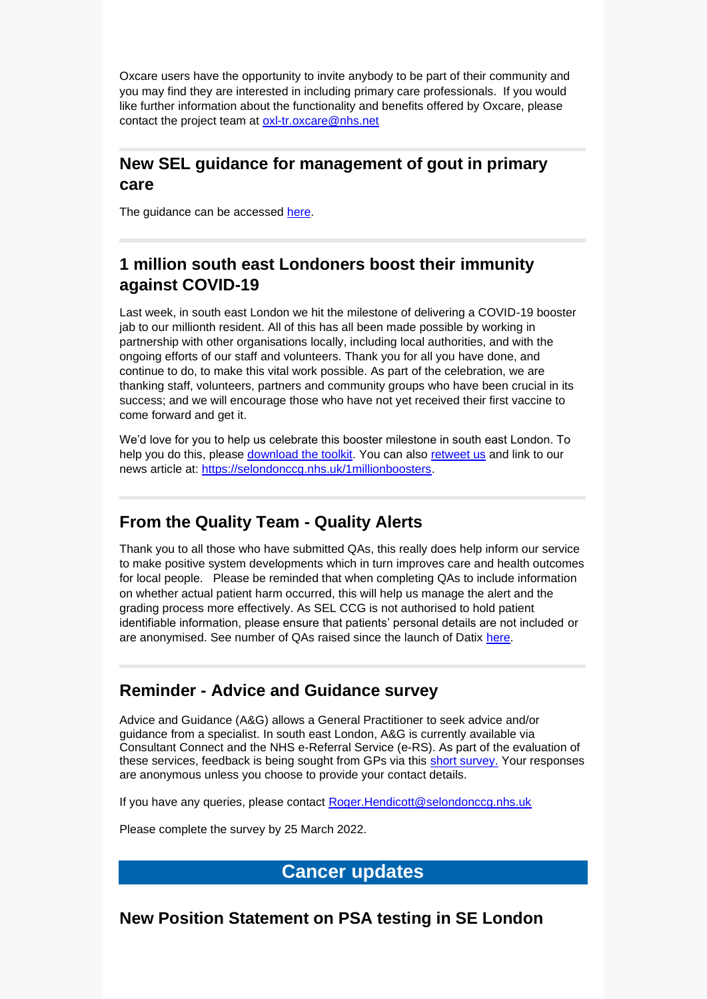Oxcare users have the opportunity to invite anybody to be part of their community and you may find they are interested in including primary care professionals. If you would like further information about the functionality and benefits offered by Oxcare, please contact the project team at [oxl-tr.oxcare@nhs.net](mailto:oxl-tr.oxcare@nhs.net)

## **New SEL guidance for management of gout in primary care**

The guidance can be accessed [here.](https://selondonccg.nhs.uk/wp-content/uploads/dlm_uploads/2022/01/Gout-%E2%80%93-primary-care-management-guideline-FINAL-Jan-22.pdf?UNLID=5953741972022128225319)

## **1 million south east Londoners boost their immunity against COVID-19**

Last week, in south east London we hit the milestone of delivering a COVID-19 booster jab to our millionth resident. All of this has all been made possible by working in partnership with other organisations locally, including local authorities, and with the ongoing efforts of our staff and volunteers. Thank you for all you have done, and continue to do, to make this vital work possible. As part of the celebration, we are thanking staff, volunteers, partners and community groups who have been crucial in its success; and we will encourage those who have not yet received their first vaccine to come forward and get it.

We'd love for you to help us celebrate this booster milestone in south east London. To help you do this, please [download the toolkit.](https://selondonccg.nhs.uk/wp-content/uploads/2022/03/1-Million-Boosters-toolkit-SEL-FINAL-20220311.pdf) You can also [retweet us](https://twitter.com/NHSSELondonCCG/status/1502237926809210883?s=20&t=rcYoWod3cKO61FZ36I6mGw) and link to our news article at: [https://selondonccg.nhs.uk/1millionboosters.](https://selondonccg.nhs.uk/1millionboosters)

## **From the Quality Team - Quality Alerts**

Thank you to all those who have submitted QAs, this really does help inform our service to make positive system developments which in turn improves care and health outcomes for local people. Please be reminded that when completing QAs to include information on whether actual patient harm occurred, this will help us manage the alert and the grading process more effectively. As SEL CCG is not authorised to hold patient identifiable information, please ensure that patients' personal details are not included or are anonymised. See number of QAs raised since the launch of Datix [here.](https://selondonccg.nhs.uk/wp-content/uploads/2022/03/Quality-Alerts-002.docx)

## **Reminder - Advice and Guidance survey**

Advice and Guidance (A&G) allows a General Practitioner to seek advice and/or guidance from a specialist. In south east London, A&G is currently available via Consultant Connect and the NHS e-Referral Service (e-RS). As part of the evaluation of these services, feedback is being sought from GPs via this [short survey.](https://forms.office.com/pages/responsepage.aspx?id=oZ5z9bnEj0uUivN-RCh6VJxRgeL8N_5EjNa8m8kkPSZURVcwM0JGOEpYWFBXQVNCRkc4NkpTRjdEUy4u&web=1&wdLOR=c129365B0-A496-4D0E-8FDC-1A4B42926E29) Your responses are anonymous unless you choose to provide your contact details.

If you have any queries, please contact [Roger.Hendicott@selondonccg.nhs.uk](mailto:Roger.Hendicott@selondonccg.nhs.uk)

Please complete the survey by 25 March 2022.

## **Cancer updates**

**New Position Statement on PSA testing in SE London**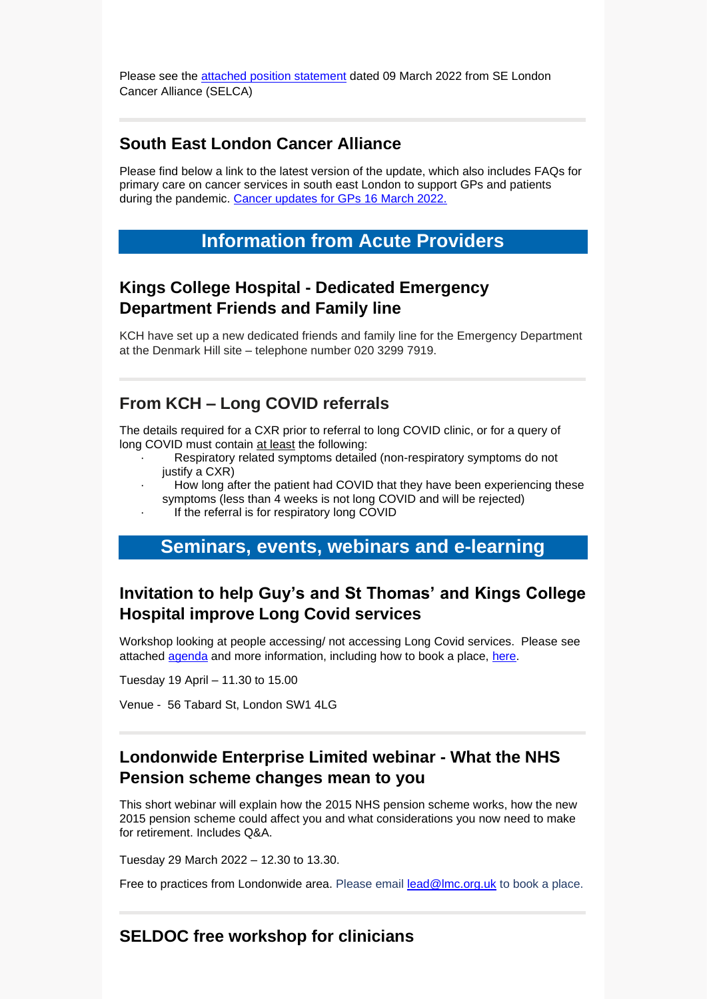Please see the [attached position statement](https://selondonccg.nhs.uk/wp-content/uploads/2022/03/SELCA-Urology-Tumour-Group-Primary-Care-PSA-Testing-Age-45-Upwards.pdf) dated 09 March 2022 from SE London Cancer Alliance (SELCA)

## **South East London Cancer Alliance**

Please find below a link to the latest version of the update, which also includes FAQs for primary care on cancer services in south east London to support GPs and patients during the pandemic. [Cancer updates for GPs 16](https://selondonccg.nhs.uk/wp-content/uploads/2022/03/SEL-Cancer-Updates-FAQs-for-Primary-Care-16-Mar-2022-Copy.pdf) March 2022.

#### **Information from Acute Providers**

### **Kings College Hospital - Dedicated Emergency Department Friends and Family line**

KCH have set up a new dedicated friends and family line for the Emergency Department at the Denmark Hill site – telephone number 020 3299 7919.

## **From KCH – Long COVID referrals**

The details required for a CXR prior to referral to long COVID clinic, or for a query of long COVID must contain at least the following:

- Respiratory related symptoms detailed (non-respiratory symptoms do not justify a CXR)
- How long after the patient had COVID that they have been experiencing these symptoms (less than 4 weeks is not long COVID and will be rejected)
	- If the referral is for respiratory long COVID

#### **Seminars, events, webinars and e-learning**

## **Invitation to help Guy's and St Thomas' and Kings College Hospital improve Long Covid services**

Workshop looking at people accessing/ not accessing Long Covid services. Please see attached [agenda](https://selondonccg.nhs.uk/wp-content/uploads/2022/03/Long-Covid-Programme-f2f-Mixed-Borough-agenda.docx) and more information, including how to book a place, [here.](https://selondonccg.nhs.uk/wp-content/uploads/2022/03/Plain-English-invitation_Long-Covid-MIXED-BOROUGH.docx)

Tuesday 19 April – 11.30 to 15.00

Venue - 56 Tabard St, London SW1 4LG

## **Londonwide Enterprise Limited webinar - What the NHS Pension scheme changes mean to you**

This short webinar will explain how the 2015 NHS pension scheme works, how the new 2015 pension scheme could affect you and what considerations you now need to make for retirement. Includes Q&A.

Tuesday 29 March 2022 – 12.30 to 13.30.

Free to practices from Londonwide area. Please email [lead@lmc.org.uk](mailto:lead@lmc.org.uk) to book a place.

#### **SELDOC free workshop for clinicians**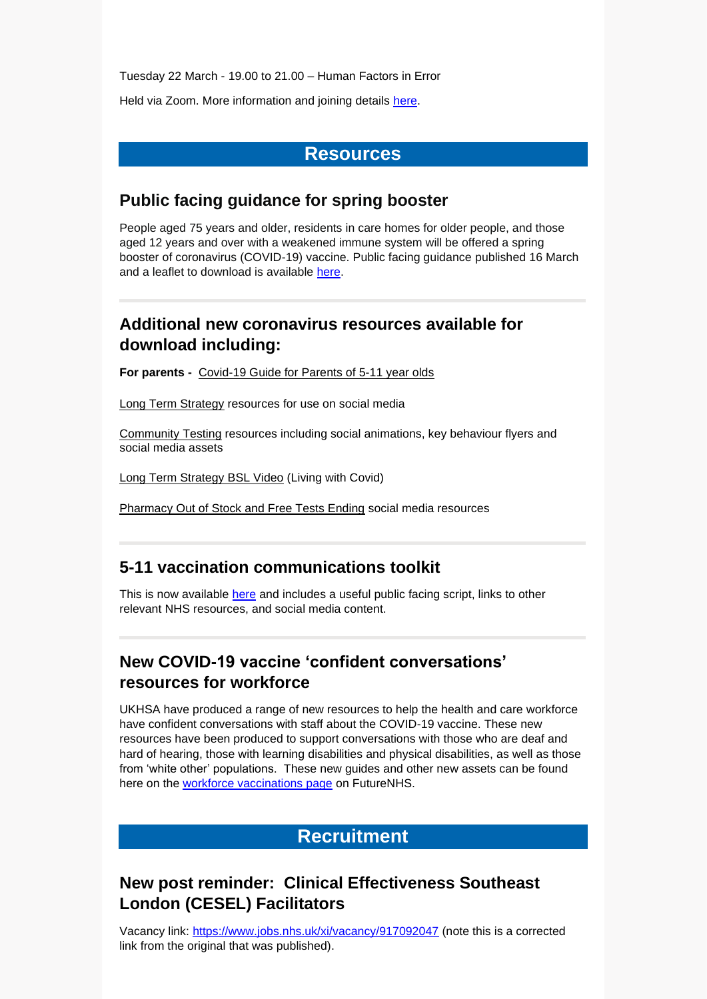Tuesday 22 March - 19.00 to 21.00 – Human Factors in Error

Held via Zoom. More information and joining details [here.](https://selondonccg.nhs.uk/wp-content/uploads/2022/03/CLINI-SERIES-FIVE-Human-Error-new-date-march_.pdf)

#### **Resources**

### **Public facing guidance for spring booster**

People aged 75 years and older, residents in care homes for older people, and those aged 12 years and over with a weakened immune system will be offered a spring booster of coronavirus (COVID-19) vaccine. Public facing guidance published 16 March and a leaflet to download is available [here.](https://www.gov.uk/government/publications/covid-19-vaccination-spring-booster-resources/a-guide-to-the-spring-booster-for-those-aged-75-years-and-older-residents-in-care-homes)

## **Additional new coronavirus resources available for download including:**

**For parents -** [Covid-19 Guide for Parents of 5-11 year olds](https://selondonccg.nhs.uk/wp-content/uploads/2022/03/UKHSA_12308_COVID-19_Guide_for_parents_of_5-11years_A5_8pp_leaflet-GW20211039-09_WEB.pdf)

[Long Term Strategy](https://coronavirusresources.phe.gov.uk/covid19-response/resources/long-term-strategy-assets/) resources for use on social media

[Community Testing](http://links.e.phepartnerships.co.uk/els/v2/8wazH~K9epT0/Z1V3RjZXeE9QVDk2MEJXdU9Lb2J0WGVTM2hydDlZQVdkTHlXMWNwbUhiVjdla2ttektXVnNkbDFEc1dBMFhrUnQ4THlaSzdtb2VoN3FBR2xVSFR3ajllMmwvTWwreWNtWDJYU2dPOTJCTW89S0/) resources including social animations, key behaviour flyers and social media assets

[Long Term Strategy BSL Video](https://coronavirusresources.phe.gov.uk/covid19-response/resources/long-term-strategy-bsl-video/) (Living with Covid)

[Pharmacy Out of Stock and Free Tests Ending](https://coronavirusresources.phe.gov.uk/Pharmacy-Collect/resources/out-stock-and-free-tests-ending-assets/) social media resources

## **5-11 vaccination communications toolkit**

This is now available [here](https://future.nhs.uk/CommsLink/view?objectid=127943173) and includes a useful public facing script, links to other relevant NHS resources, and social media content.

# **New COVID-19 vaccine 'confident conversations' resources for workforce**

UKHSA have produced a range of new resources to help the health and care workforce have confident conversations with staff about the COVID-19 vaccine. These new resources have been produced to support conversations with those who are deaf and hard of hearing, those with learning disabilities and physical disabilities, as well as those from 'white other' populations. These new guides and other new assets can be found here on the [workforce vaccinations page](https://future.nhs.uk/LDN_C19_VE/view?objectId=32777328) on FutureNHS.

# **Recruitment**

# **New post reminder: Clinical Effectiveness Southeast London (CESEL) Facilitators**

Vacancy link:<https://www.jobs.nhs.uk/xi/vacancy/917092047> (note this is a corrected link from the original that was published).